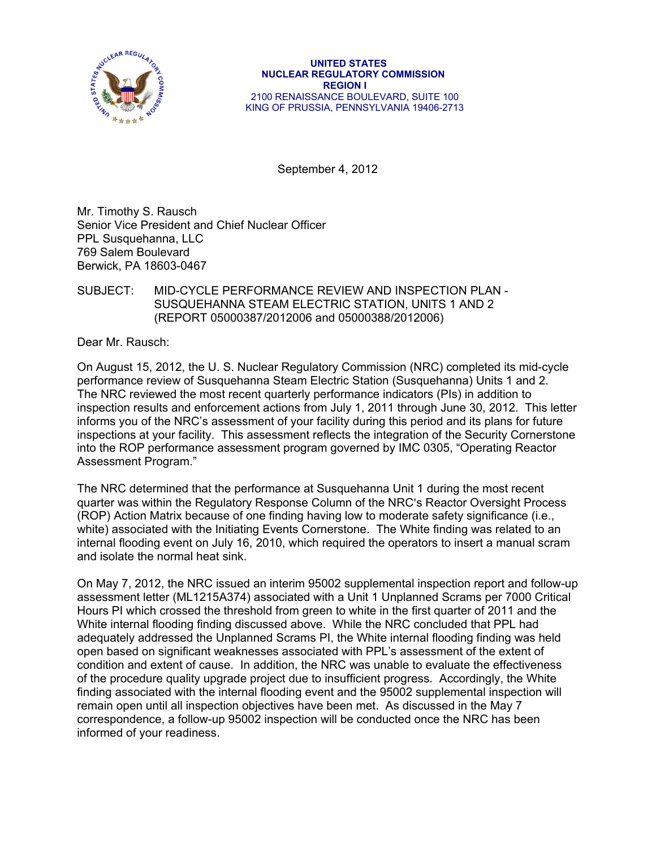

September 4, 2012

Mr. Timothy S. Rausch Senior Vice President and Chief Nuclear Officer PPL Susquehanna, LLC 769 Salem Boulevard Berwick, PA 18603-0467

## SUBJECT: MID-CYCLE PERFORMANCE REVIEW AND INSPECTION PLAN - SUSQUEHANNA STEAM ELECTRIC STATION, UNlTS 1 AND 2 (REPORT 05000387/2012006 and 05000388/2012006)

Dear Mr. Rausch:

On August 15, 2012, the U. S. Nuclear Regulatory Commission (NRC) completed its mid-cycle performance review of Susquehanna Steam Electric Station (Susquehanna) Units 1 and 2. The NRC reviewed the most recent quarterly performance indicators (PIs) in addition to inspection results and enforcement actions from July 1, 2011 through June 30, 2012. This letter informs you of the NRC's assessment of your facility during this period and its plans for future inspections at your facility. This assessment reflects the integration of the Security Cornerstone into the ROP performance assessment program governed by IMC 0305, "Operating Reactor Assessment Program."

The NRC determined that the performance at Susquehanna Unit 1 during the most recent quarter was within the Regulatory Response Column of the NRC's Reactor Oversight Process (ROP) Action Matrix because of one finding having low to moderate safety significance (i.e., white) associated with the Initiating Events Cornerstone. The White finding was related to an internal flooding event on July 16, 2010, which required the operators to insert a manual scram and isolate the normal heat sink.

On May 7, 2012, the NRC issued an interim 95002 supplemental inspection report and follow-up assessment letter (ML1215A374) associated with a Unit 1 Unplanned Scrams per 7000 Critical Hours PI which crossed the threshold from green to white in the first quarter of 2011 and the White internal flooding finding discussed above. While the NRC concluded that PPL had adequately addressed the Unplanned Scrams PI, the White internal flooding finding was held open based on significant weaknesses associated with PPL's assessment of the extent of condition and extent of cause. In addition, the NRC was unable to evaluate the effectiveness of the procedure quality upgrade project due to insufficient progress. Accordingly, the White finding associated with the internal flooding event and the 95002 supplemental inspection will remain open until all inspection objectives have been met. As discussed in the May 7 correspondence, a follow-up 95002 inspection will be conducted once the NRC has been informed of your readiness.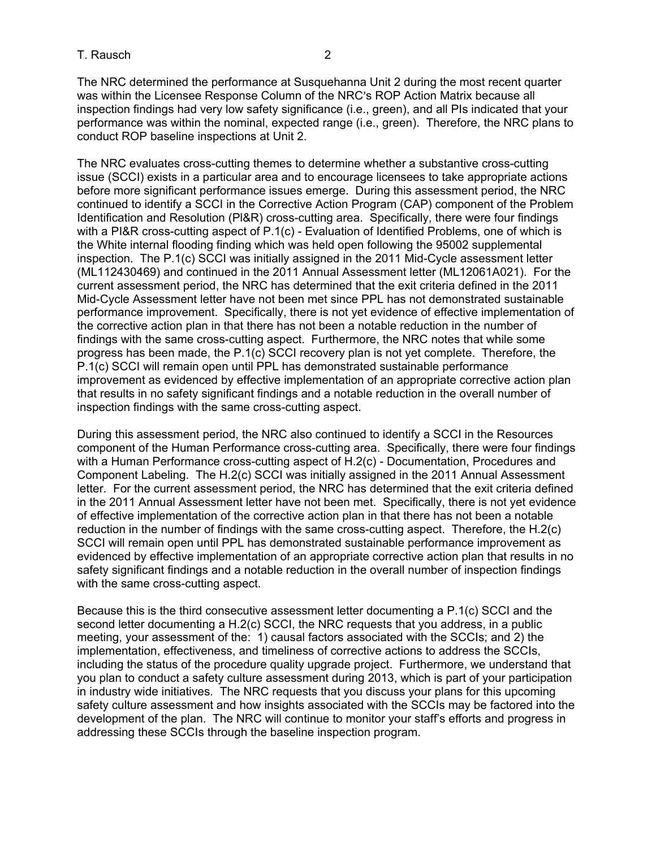#### T. Rausch 2

The NRC determined the performance at Susquehanna Unit 2 during the most recent quarter was within the Licensee Response Column of the NRC's ROP Action Matrix because all inspection findings had very low safety significance (i.e., green), and all PIs indicated that your performance was within the nominal, expected range (i.e., green). Therefore, the NRC plans to conduct ROP baseline inspections at Unit 2.

The NRC evaluates cross-cutting themes to determine whether a substantive cross-cutting issue (SCCI) exists in a particular area and to encourage licensees to take appropriate actions before more significant performance issues emerge. During this assessment period, the NRC continued to identify a SCCI in the Corrective Action Program (CAP) component of the Problem Identification and Resolution (Pl&R) cross-cutting area. Specifically, there were four findings with a PI&R cross-cutting aspect of P.1(c) - Evaluation of Identified Problems, one of which is the White internal flooding finding which was held open following the 95002 supplemental inspection. The P.1(c) SCCI was initially assigned in the 2011 Mid-Cycle assessment letter (ML112430469) and continued in the 2011 Annual Assessment letter (ML12061A021). For the current assessment period, the NRC has determined that the exit criteria defined in the 2011 Mid-Cycle Assessment letter have not been met since PPL has not demonstrated sustainable performance improvement. Specifically, there is not yet evidence of effective implementation of the corrective action plan in that there has not been a notable reduction in the number of findings with the same cross-cutting aspect. Furthermore, the NRC notes that while some progress has been made, the P.1(c) SCCI recovery plan is not yet complete. Therefore, the P.1(c) SCCI will remain open until PPL has demonstrated sustainable performance improvement as evidenced by effective implementation of an appropriate corrective action plan that results in no safety significant findings and a notable reduction in the overall number of inspection findings with the same cross-cutting aspect.

During this assessment period, the NRC also continued to identify a SCCI in the Resources component of the Human Performance cross-cutting area. Specifically, there were four findings with a Human Performance cross-cutting aspect of H.2(c) - Documentation, Procedures and Component Labeling. The H.2(c) SCCI was initially assigned in the 2011 Annual Assessment letter. For the current assessment period, the NRC has determined that the exit criteria defined in the 2011 Annual Assessment letter have not been met. Specifically, there is not yet evidence of effective implementation of the corrective action plan in that there has not been a notable reduction in the number of findings with the same cross-cutting aspect. Therefore, the H.2(c) SCCI will remain open until PPL has demonstrated sustainable performance improvement as evidenced by effective implementation of an appropriate corrective action plan that results in no safety significant findings and a notable reduction in the overall number of inspection findings with the same cross-cutting aspect.

Because this is the third consecutive assessment letter documenting a P.1(c) SCCI and the second letter documenting a H.2(c) SCCI, the NRC requests that you address, in a public meeting, your assessment of the: 1) causal factors associated with the SCCIs; and 2) the implementation, effectiveness, and timeliness of corrective actions to address the SCCIs, including the status of the procedure quality upgrade project. Furthermore, we understand that you plan to conduct a safety culture assessment during 2013, which is part of your participation in industry wide initiatives. The NRC requests that you discuss your plans for this upcoming safety culture assessment and how insights associated with the SCCIs may be factored into the development of the plan. The NRC will continue to monitor your staff's efforts and progress in addressing these SCCIs through the baseline inspection program.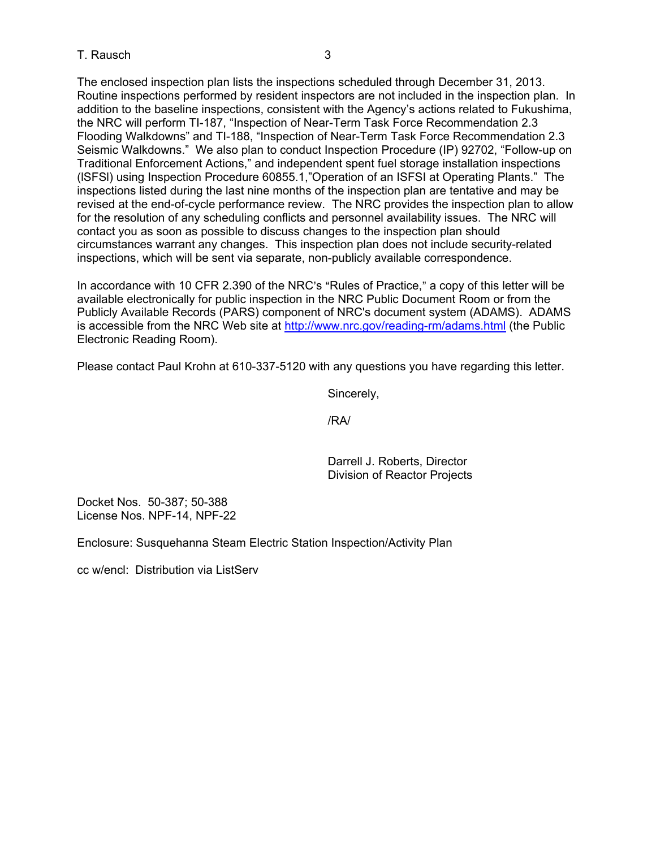## T. Rausch 3

The enclosed inspection plan lists the inspections scheduled through December 31, 2013. Routine inspections performed by resident inspectors are not included in the inspection plan. In addition to the baseline inspections, consistent with the Agency's actions related to Fukushima, the NRC will perform TI-187, "Inspection of Near-Term Task Force Recommendation 2.3 Flooding Walkdowns" and TI-188, "Inspection of Near-Term Task Force Recommendation 2.3 Seismic Walkdowns." We also plan to conduct Inspection Procedure (IP) 92702, "Follow-up on Traditional Enforcement Actions," and independent spent fuel storage installation inspections (lSFSl) using Inspection Procedure 60855.1,"Operation of an ISFSI at Operating Plants." The inspections listed during the last nine months of the inspection plan are tentative and may be revised at the end-of-cycle performance review. The NRC provides the inspection plan to allow for the resolution of any scheduling conflicts and personnel availability issues. The NRC will contact you as soon as possible to discuss changes to the inspection plan should circumstances warrant any changes. This inspection plan does not include security-related inspections, which will be sent via separate, non-publicly available correspondence.

In accordance with 10 CFR 2.390 of the NRC's "Rules of Practice," a copy of this letter will be available electronically for public inspection in the NRC Public Document Room or from the Publicly Available Records (PARS) component of NRC's document system (ADAMS). ADAMS is accessible from the NRC Web site at http://www.nrc.gov/reading-rm/adams.html (the Public Electronic Reading Room).

Please contact Paul Krohn at 610-337-5120 with any questions you have regarding this letter.

Sincerely,

/RA/

Darrell J. Roberts, Director Division of Reactor Projects

Docket Nos. 50-387; 50-388 License Nos. NPF-14, NPF-22

Enclosure: Susquehanna Steam Electric Station Inspection/Activity Plan

cc w/encl: Distribution via ListServ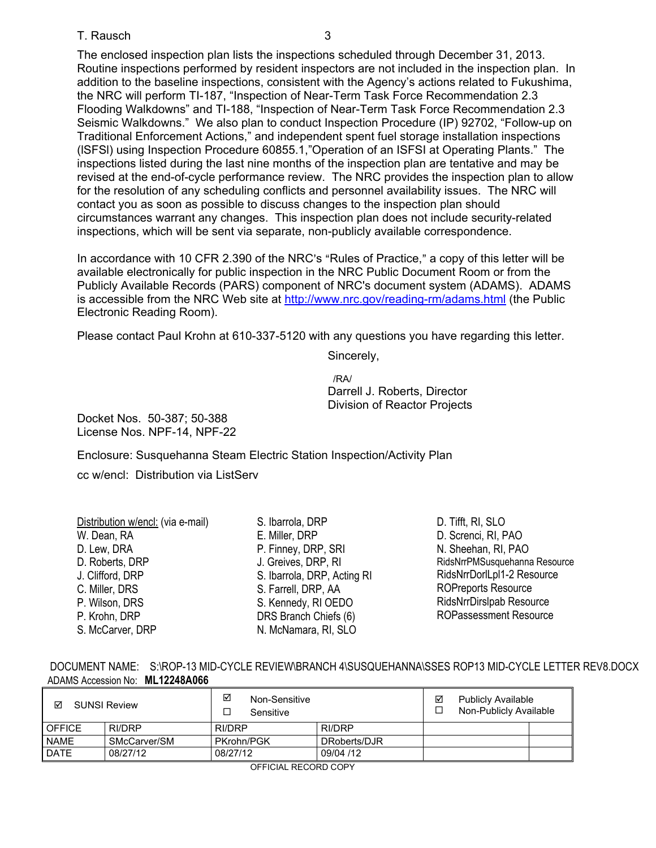#### T. Rausch 3

The enclosed inspection plan lists the inspections scheduled through December 31, 2013. Routine inspections performed by resident inspectors are not included in the inspection plan. In addition to the baseline inspections, consistent with the Agency's actions related to Fukushima, the NRC will perform TI-187, "Inspection of Near-Term Task Force Recommendation 2.3 Flooding Walkdowns" and TI-188, "Inspection of Near-Term Task Force Recommendation 2.3 Seismic Walkdowns." We also plan to conduct Inspection Procedure (IP) 92702, "Follow-up on Traditional Enforcement Actions," and independent spent fuel storage installation inspections (lSFSl) using Inspection Procedure 60855.1,"Operation of an ISFSI at Operating Plants." The inspections listed during the last nine months of the inspection plan are tentative and may be revised at the end-of-cycle performance review. The NRC provides the inspection plan to allow for the resolution of any scheduling conflicts and personnel availability issues. The NRC will contact you as soon as possible to discuss changes to the inspection plan should circumstances warrant any changes. This inspection plan does not include security-related inspections, which will be sent via separate, non-publicly available correspondence.

In accordance with 10 CFR 2.390 of the NRC's "Rules of Practice," a copy of this letter will be available electronically for public inspection in the NRC Public Document Room or from the Publicly Available Records (PARS) component of NRC's document system (ADAMS). ADAMS is accessible from the NRC Web site at http://www.nrc.gov/reading-rm/adams.html (the Public Electronic Reading Room).

Please contact Paul Krohn at 610-337-5120 with any questions you have regarding this letter.

Sincerely,

 /RA/ Darrell J. Roberts, Director Division of Reactor Projects

Docket Nos. 50-387; 50-388 License Nos. NPF-14, NPF-22

Enclosure: Susquehanna Steam Electric Station Inspection/Activity Plan

cc w/encl: Distribution via ListServ

| Distribution w/encl: (via e-mail) | S. Ibarrola, DRP            | D. Tifft, RI, SLO               |
|-----------------------------------|-----------------------------|---------------------------------|
| W. Dean, RA                       | E. Miller, DRP              | D. Screnci, RI, PAO             |
| D. Lew, DRA                       | P. Finney, DRP, SRI         | N. Sheehan, RI, PAO             |
| D. Roberts, DRP                   | J. Greives, DRP, RI         | RidsNrrPMSusquehanna Resource   |
| J. Clifford, DRP                  | S. Ibarrola, DRP, Acting RI | RidsNrrDorlLpl1-2 Resource      |
| C. Miller, DRS                    | S. Farrell, DRP, AA         | <b>ROPreports Resource</b>      |
| P. Wilson, DRS                    | S. Kennedy, RI OEDO         | <b>RidsNrrDirsIpab Resource</b> |
| P. Krohn, DRP                     | DRS Branch Chiefs (6)       | <b>ROPassessment Resource</b>   |
| S. McCarver, DRP                  | N. McNamara, RI, SLO        |                                 |

|                                 | DOCUMENT NAME: S:\ROP-13 MID-CYCLE REVIEW\BRANCH 4\SUSQUEHANNA\SSES ROP13 MID-CYCLE LETTER REV8.DOCX |
|---------------------------------|------------------------------------------------------------------------------------------------------|
| ADAMS Accession No: ML12248A066 |                                                                                                      |

| ☑<br><b>SUNSI Review</b> |               | ☑<br>Non-Sensitive<br>Sensitive |              | ☑ | <b>Publicly Available</b><br>Non-Publicly Available |  |
|--------------------------|---------------|---------------------------------|--------------|---|-----------------------------------------------------|--|
| <b>OFFICE</b>            | <b>RI/DRP</b> | RI/DRP                          | RI/DRP       |   |                                                     |  |
| <b>NAME</b>              | SMcCarver/SM  | PKrohn/PGK                      | DRoberts/DJR |   |                                                     |  |
| <b>DATE</b>              | 08/27/12      | 08/27/12                        | 09/04 /12    |   |                                                     |  |

OFFICIAL RECORD COPY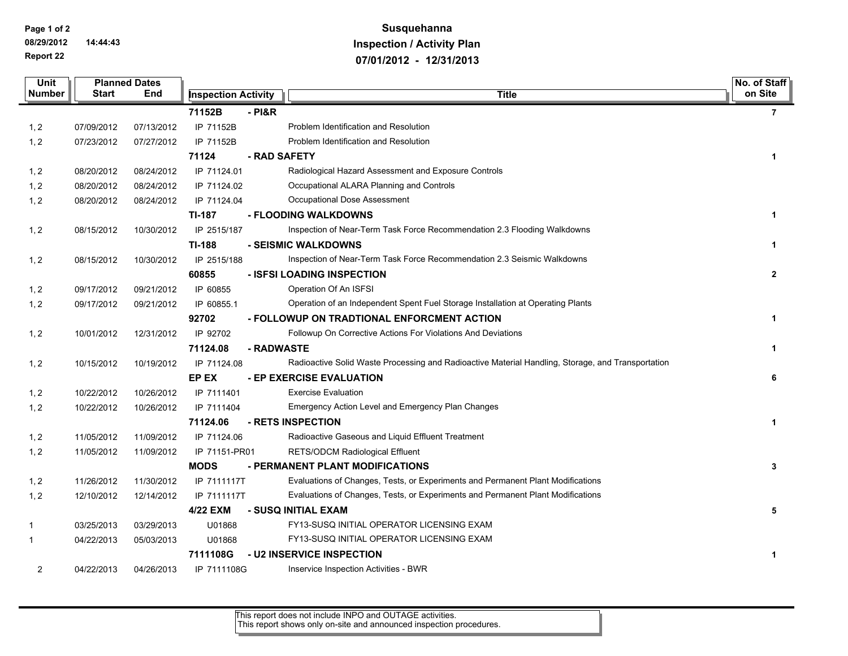**Page 1 of 2 08/29/2012 14:44:43 Report 22**

# **Susquehanna Inspection / Activity Plan 07/01/2012 - 12/31/2013**

| Unit           |            | <b>Planned Dates</b> |                            |              |                                                                                                   |                |
|----------------|------------|----------------------|----------------------------|--------------|---------------------------------------------------------------------------------------------------|----------------|
| <b>Number</b>  | Start      | End                  | <b>Inspection Activity</b> |              | <b>Title</b>                                                                                      |                |
|                |            |                      | 71152B                     | $-$ PI&R     |                                                                                                   | $\overline{7}$ |
| 1, 2           | 07/09/2012 | 07/13/2012           | IP 71152B                  |              | Problem Identification and Resolution                                                             |                |
| 1, 2           | 07/23/2012 | 07/27/2012           | IP 71152B                  |              | Problem Identification and Resolution                                                             |                |
|                |            |                      | 71124                      | - RAD SAFETY |                                                                                                   | 1              |
| 1, 2           | 08/20/2012 | 08/24/2012           | IP 71124.01                |              | Radiological Hazard Assessment and Exposure Controls                                              |                |
| 1, 2           | 08/20/2012 | 08/24/2012           | IP 71124.02                |              | Occupational ALARA Planning and Controls                                                          |                |
| 1, 2           | 08/20/2012 | 08/24/2012           | IP 71124.04                |              | Occupational Dose Assessment                                                                      |                |
|                |            |                      | TI-187                     |              | - FLOODING WALKDOWNS                                                                              | $\mathbf{1}$   |
| 1, 2           | 08/15/2012 | 10/30/2012           | IP 2515/187                |              | Inspection of Near-Term Task Force Recommendation 2.3 Flooding Walkdowns                          |                |
|                |            |                      | TI-188                     |              | - SEISMIC WALKDOWNS                                                                               | $\mathbf 1$    |
| 1, 2           | 08/15/2012 | 10/30/2012           | IP 2515/188                |              | Inspection of Near-Term Task Force Recommendation 2.3 Seismic Walkdowns                           |                |
|                |            |                      | 60855                      |              | - ISFSI LOADING INSPECTION                                                                        | $\overline{2}$ |
| 1, 2           | 09/17/2012 | 09/21/2012           | IP 60855                   |              | Operation Of An ISFSI                                                                             |                |
| 1, 2           | 09/17/2012 | 09/21/2012           | IP 60855.1                 |              | Operation of an Independent Spent Fuel Storage Installation at Operating Plants                   |                |
|                |            |                      | 92702                      |              | - FOLLOWUP ON TRADTIONAL ENFORCMENT ACTION                                                        | 1              |
| 1, 2           | 10/01/2012 | 12/31/2012           | IP 92702                   |              | Followup On Corrective Actions For Violations And Deviations                                      |                |
|                |            |                      | 71124.08                   | - RADWASTE   |                                                                                                   | $\mathbf{1}$   |
| 1, 2           | 10/15/2012 | 10/19/2012           | IP 71124.08                |              | Radioactive Solid Waste Processing and Radioactive Material Handling, Storage, and Transportation |                |
|                |            |                      | EP EX                      |              | - EP EXERCISE EVALUATION                                                                          | 6              |
| 1, 2           | 10/22/2012 | 10/26/2012           | IP 7111401                 |              | <b>Exercise Evaluation</b>                                                                        |                |
| 1, 2           | 10/22/2012 | 10/26/2012           | IP 7111404                 |              | Emergency Action Level and Emergency Plan Changes                                                 |                |
|                |            |                      | 71124.06                   |              | - RETS INSPECTION                                                                                 | $\mathbf{1}$   |
| 1, 2           | 11/05/2012 | 11/09/2012           | IP 71124.06                |              | Radioactive Gaseous and Liquid Effluent Treatment                                                 |                |
| 1, 2           | 11/05/2012 | 11/09/2012           | IP 71151-PR01              |              | RETS/ODCM Radiological Effluent                                                                   |                |
|                |            |                      | <b>MODS</b>                |              | - PERMANENT PLANT MODIFICATIONS                                                                   | $\mathbf{3}$   |
| 1, 2           | 11/26/2012 | 11/30/2012           | IP 7111117T                |              | Evaluations of Changes, Tests, or Experiments and Permanent Plant Modifications                   |                |
| 1, 2           | 12/10/2012 | 12/14/2012           | IP 7111117T                |              | Evaluations of Changes, Tests, or Experiments and Permanent Plant Modifications                   |                |
|                |            |                      | 4/22 EXM                   |              | - SUSQ INITIAL EXAM                                                                               | 5              |
| 1              | 03/25/2013 | 03/29/2013           | U01868                     |              | FY13-SUSQ INITIAL OPERATOR LICENSING EXAM                                                         |                |
| 1              | 04/22/2013 | 05/03/2013           | U01868                     |              | FY13-SUSQ INITIAL OPERATOR LICENSING EXAM                                                         |                |
|                |            |                      | 7111108G                   |              | - U2 INSERVICE INSPECTION                                                                         | 1              |
| $\overline{2}$ | 04/22/2013 | 04/26/2013           | IP 7111108G                |              | Inservice Inspection Activities - BWR                                                             |                |

This report does not include INPO and OUTAGE activities. This report shows only on-site and announced inspection procedures.